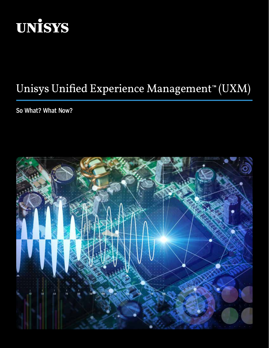

# Unisys Unified Experience Management™ (UXM)

**So What? What Now?**

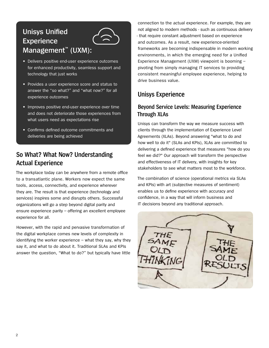# **Unisys Unified Experience Management**™ **(UXM):**



- Delivers positive end-user experience outcomes for enhanced productivity, seamless support and technology that just works
- Provides a user experience score and status to answer the "so what?" and "what now?" for all experience outcomes
- Improves positive end-user experience over time and does not deteriorate those experiences from what users need as expectations rise
- Confirms defined outcome commitments and deliveries are being achieved

## **So What? What Now? Understanding Actual Experience**

The workplace today can be anywhere from a remote office to a transatlantic plane. Workers now expect the same tools, access, connectivity, and experience wherever they are. The result is that experience (technology and services) inspires some and disrupts others. Successful organizations will go a step beyond digital parity and ensure experience parity – offering an excellent employee experience for all.

However, with the rapid and pervasive transformation of the digital workplace comes new levels of complexity in identifying the worker experience  $-$  what they say, why they say it, and what to do about it. Traditional SLAs and KPIs answer the question, "What to do?" but typically have little

connection to the actual experience. For example, they are not aligned to modern methods - such as continuous delivery - that require constant adjustment based on experience and outcomes. As a result, new experience-oriented frameworks are becoming indispensable in modern working environments, in which the emerging need for a Unified Experience Management (UXM) viewpoint is booming – pivoting from simply managing IT services to providing consistent meaningful employee experience, helping to drive business value.

## **Unisys Experience**

#### **Beyond Service Levels: Measuring Experience Through XLAs**

Unisys can transform the way we measure success with clients through the implementation of Experience Level Agreements (XLAs). Beyond answering "what to do and how well to do it" (SLAs and KPIs), XLAs are committed to delivering a defined experience that measures "how do you feel we did?" Our approach will transform the perspective and effectiveness of IT delivery, with insights for key stakeholders to see what matters most to the workforce.

The combination of science (operational metrics via SLAs and KPIs) with art (subjective measures of sentiment) enables us to define experience with accuracy and confidence, in a way that will inform business and IT decisions beyond any traditional approach.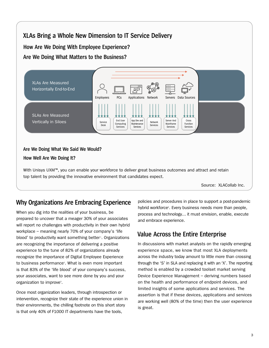### **XLAs Bring a Whole New Dimension to IT Service Delivery**

**How Are We Doing With Employee Experience?**

**Are We Doing What Matters to the Business?**



With Unisys UXM™, you can enable your workforce to deliver great business outcomes and attract and retain top talent by providing the innovative environment that candidates expect.

Source: XLACollab Inc.

#### **Why Organizations Are Embracing Experience**

When you dig into the realities of your business, be prepared to uncover that a meager 30% of your associates will report no challenges with productivity in their own hybrid workplace – meaning nearly 70% of your company's 'life blood' to productivity want something better<sup>1</sup>. Organizations are recognizing the importance of delivering a positive experience to the tune of 82% of organizations already recognize the importance of Digital Employee Experience to business performance<sup>2</sup>. What is even more important is that 83% of the 'life blood' of your company's success, your associates, want to see more done by you and your organization to improve<sup>3</sup>.

Once most organization leaders, through introspection or intervention, recognize their state of the experience union in their environments, the chilling footnote on this short story is that only 40% of F1000 IT departments have the tools,

policies and procedures in place to support a post-pandemic hybrid workforce<sup>4</sup>. Every business needs more than people, process and technology… it must envision, enable, execute and embrace experience.

## **Value Across the Entire Enterprise**

In discussions with market analysts on the rapidly emerging experience space, we know that most XLA deployments across the industry today amount to little more than crossing through the 'S' in SLA and replacing it with an 'X'. The reporting method is enabled by a crowded toolset market serving Device Experience Management – deriving numbers based on the health and performance of endpoint devices, and limited insights of some applications and services. The assertion is that if these devices, applications and services are working well (80% of the time) then the user experience is great.